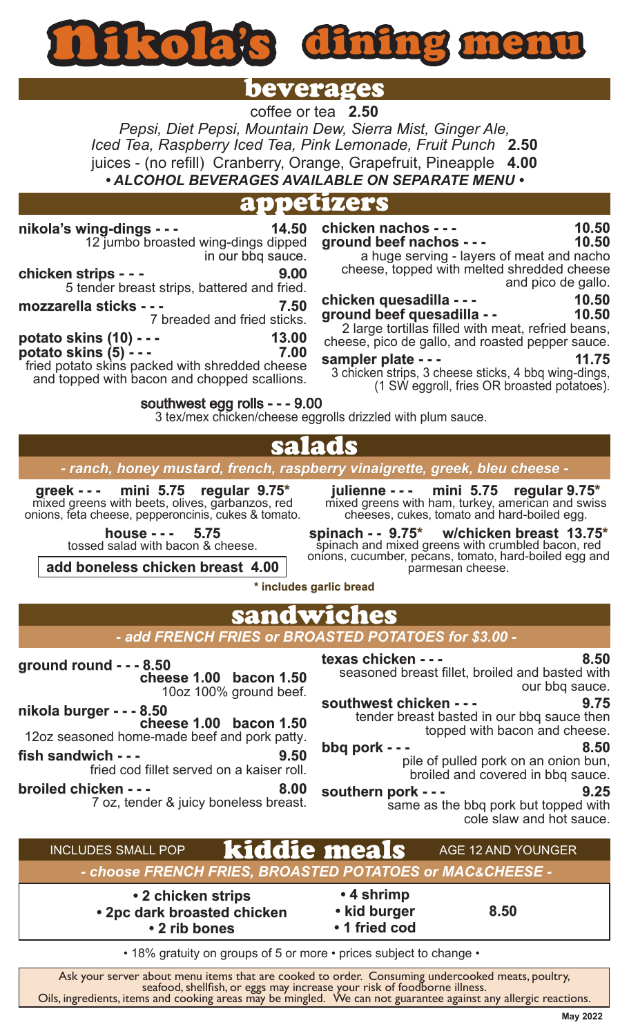nikola' s dinin

# beverages

coffee or tea **2.50** *Pepsi, Diet Pepsi, Mountain Dew, Sierra Mist, Ginger Ale, Iced Tea, Raspberry Iced Tea, Pink Lemonade, Fruit Punch* **2.50** juices - (no refill) Cranberry, Orange, Grapefruit, Pineapple **4.00** *• ALCOHOL BEVERAGES AVAILABLE ON SEPARATE MENU •*

### appetizers

**nikola's wing-dings - - - 14.50** 12 jumbo broasted wing-dings dipped in our bbq sauce. **chicken strips - - - 9.00** 5 tender breast strips, battered and fried. **mozzarella sticks - - - 7.50** 7 breaded and fried sticks. **potato skins (10) - - - 13.00 potato skins (5) - - - 7.00** fried potato skins packed with shredded cheese and topped with bacon and chopped scallions. **chicken nachos - - - 10.50 ground beef nachos - - - 10.50** a huge serving - layers of meat and nacho cheese, topped with melted shredded cheese and pico de gallo. **chicken quesadilla - - - 10.50 ground beef quesadilla - - 10.50** 2 large tortillas filled with meat, refried beans, cheese, pico de gallo, and roasted pepper sauce. **sampler plate - - - 11.75** 3 chicken strips, 3 cheese sticks, 4 bbq wing-dings, (1 SW eggroll, fries OR broasted potatoes). **greek - - - mini 5.75 regular 9.75\*** mixed greens with beets, olives, garbanzos, red onions, feta cheese, pepperoncinis, cukes & tomato. salads *- ranch, honey mustard, french, raspberry vinaigrette, greek, bleu cheese*  **julienne - - - mini 5.75 regular 9.75\*** mixed greens with ham, turkey, american and swiss cheeses, cukes, tomato and hard-boiled egg. southwest egg rolls - - - 9.00 3 tex/mex chicken/cheese eggrolls drizzled with plum sauce.

**house - - - 5.75** tossed salad with bacon & cheese.

**add boneless chicken breast 4.00**

**spinach - - 9.75\* w/chicken breast 13.75\*** spinach and mixed greens with crumbled bacon, red onions, cucumber, pecans, tomato, hard-boiled egg and parmesan cheese.

#### **\* includes garlic bread**

## sandwiches

#### *- add FRENCH FRIES or BROASTED POTATOES for \$3.00 -*

**ground round - - - 8.50 cheese 1.00 bacon 1.50** 10oz 100% ground beef.

**nikola burger - - - 8.50 cheese 1.00 bacon 1.50**

12oz seasoned home-made beef and pork patty.

**fish sandwich - - - 9.50** fried cod fillet served on a kaiser roll.

**broiled chicken - - - 8.00** 7 oz, tender & juicy boneless breast.

**texas chicken - - - 8.50**

seasoned breast fillet, broiled and basted with our bbq sauce.

**southwest chicken - - - 9.75** tender breast basted in our bbq sauce then topped with bacon and cheese.

# **bbq pork - - - 8.50**

pile of pulled pork on an onion bun, broiled and covered in bbq sauce.

**southern pork - - - 9.25** same as the bbq pork but topped with cole slaw and hot sauce.

#### kiddie meals INCLUDES SMALL POP AGE 12 AND YOUNGER

*- choose FRENCH FRIES, BROASTED POTATOES or MAC&CHEESE -* 

**• 2 chicken strips • 2pc dark broasted chicken • 2 rib bones**

**• 4 shrimp • kid burger • 1 fried cod**

**8.50**

• 18% gratuity on groups of 5 or more • prices subject to change •

Ask your server about menu items that are cooked to order. Consuming undercooked meats, poultry,<br>seafood, shellfish, or eggs may increase your risk of foodborne illness.<br>Oils, ingredients, items and cooking areas may be mi